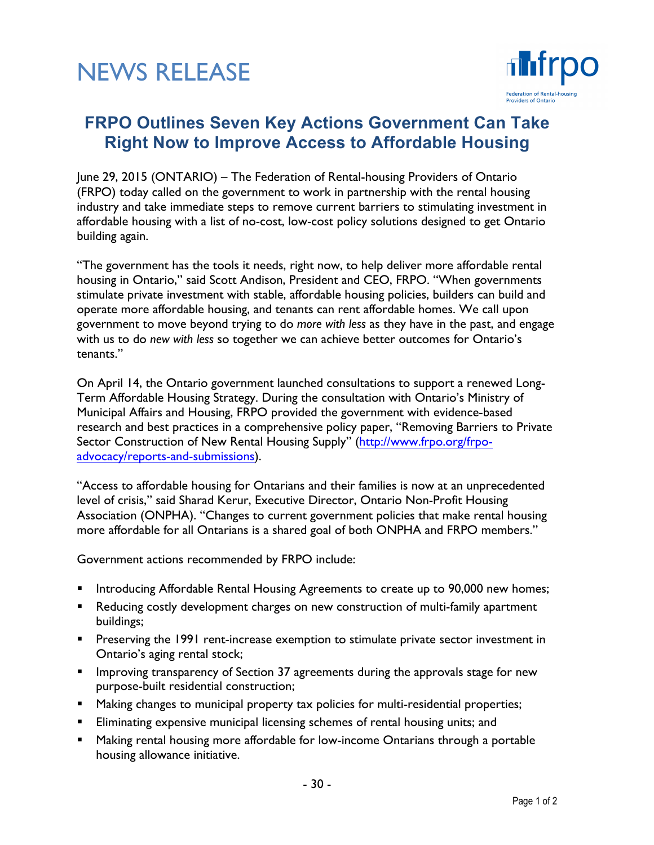## NEWS RELEASE



## **FRPO Outlines Seven Key Actions Government Can Take Right Now to Improve Access to Affordable Housing**

June 29, 2015 (ONTARIO) – The Federation of Rental-housing Providers of Ontario (FRPO) today called on the government to work in partnership with the rental housing industry and take immediate steps to remove current barriers to stimulating investment in affordable housing with a list of no-cost, low-cost policy solutions designed to get Ontario building again.

"The government has the tools it needs, right now, to help deliver more affordable rental housing in Ontario," said Scott Andison, President and CEO, FRPO. "When governments stimulate private investment with stable, affordable housing policies, builders can build and operate more affordable housing, and tenants can rent affordable homes. We call upon government to move beyond trying to do *more with less* as they have in the past, and engage with us to do *new with less* so together we can achieve better outcomes for Ontario's tenants."

On April 14, the Ontario government launched consultations to support a renewed Long-Term Affordable Housing Strategy. During the consultation with Ontario's Ministry of Municipal Affairs and Housing, FRPO provided the government with evidence-based research and best practices in a comprehensive policy paper, "Removing Barriers to Private Sector Construction of New Rental Housing Supply" (http://www.frpo.org/frpoadvocacy/reports-and-submissions).

"Access to affordable housing for Ontarians and their families is now at an unprecedented level of crisis," said Sharad Kerur, Executive Director, Ontario Non-Profit Housing Association (ONPHA). "Changes to current government policies that make rental housing more affordable for all Ontarians is a shared goal of both ONPHA and FRPO members."

Government actions recommended by FRPO include:

- Introducing Affordable Rental Housing Agreements to create up to 90,000 new homes;
- Reducing costly development charges on new construction of multi-family apartment buildings;
- Preserving the 1991 rent-increase exemption to stimulate private sector investment in Ontario's aging rental stock;
- Improving transparency of Section 37 agreements during the approvals stage for new purpose-built residential construction;
- Making changes to municipal property tax policies for multi-residential properties;
- **Eliminating expensive municipal licensing schemes of rental housing units; and**
- Making rental housing more affordable for low-income Ontarians through a portable housing allowance initiative.